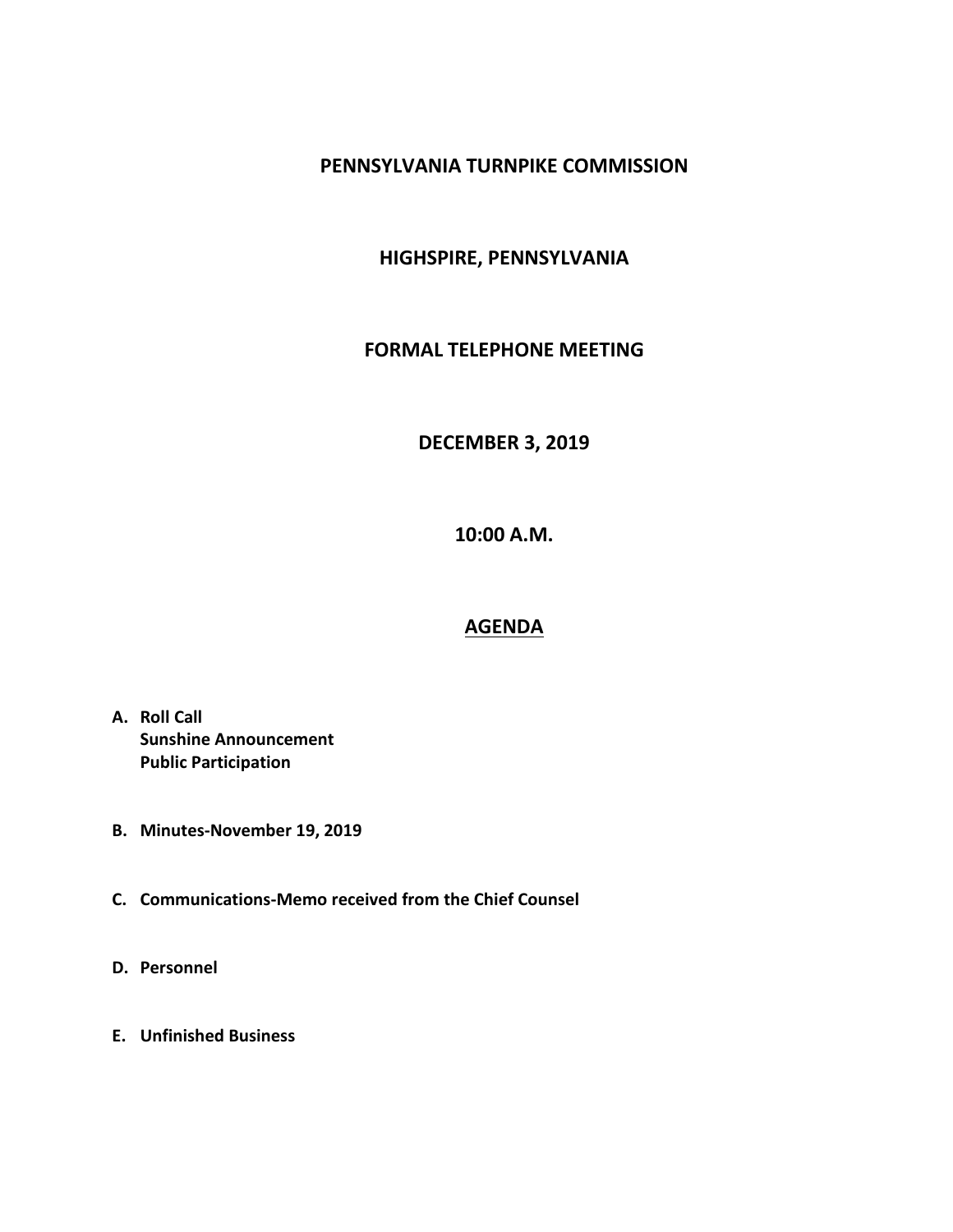#### **PENNSYLVANIA TURNPIKE COMMISSION**

## **HIGHSPIRE, PENNSYLVANIA**

#### **FORMAL TELEPHONE MEETING**

## **DECEMBER 3, 2019**

**10:00 A.M.**

# **AGENDA**

- **A. Roll Call Sunshine Announcement Public Participation**
- **B. Minutes-November 19, 2019**
- **C. Communications-Memo received from the Chief Counsel**
- **D. Personnel**
- **E. Unfinished Business**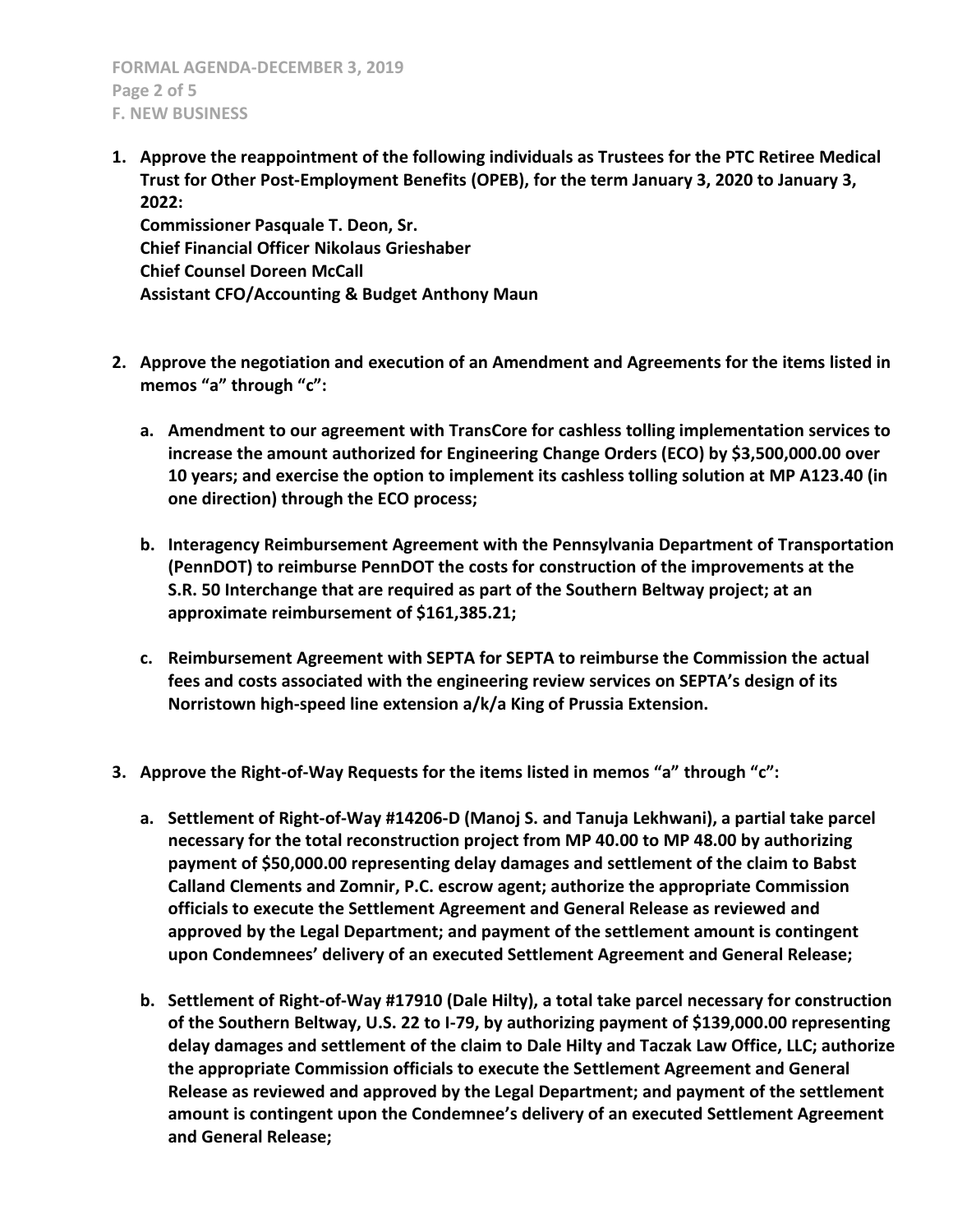**FORMAL AGENDA-DECEMBER 3, 2019 Page 2 of 5 F. NEW BUSINESS**

**1. Approve the reappointment of the following individuals as Trustees for the PTC Retiree Medical Trust for Other Post-Employment Benefits (OPEB), for the term January 3, 2020 to January 3, 2022:**

**Commissioner Pasquale T. Deon, Sr. Chief Financial Officer Nikolaus Grieshaber Chief Counsel Doreen McCall Assistant CFO/Accounting & Budget Anthony Maun**

- **2. Approve the negotiation and execution of an Amendment and Agreements for the items listed in memos "a" through "c":**
	- **a. Amendment to our agreement with TransCore for cashless tolling implementation services to increase the amount authorized for Engineering Change Orders (ECO) by \$3,500,000.00 over 10 years; and exercise the option to implement its cashless tolling solution at MP A123.40 (in one direction) through the ECO process;**
	- **b. Interagency Reimbursement Agreement with the Pennsylvania Department of Transportation (PennDOT) to reimburse PennDOT the costs for construction of the improvements at the S.R. 50 Interchange that are required as part of the Southern Beltway project; at an approximate reimbursement of \$161,385.21;**
	- **c. Reimbursement Agreement with SEPTA for SEPTA to reimburse the Commission the actual fees and costs associated with the engineering review services on SEPTA's design of its Norristown high-speed line extension a/k/a King of Prussia Extension.**
- **3. Approve the Right-of-Way Requests for the items listed in memos "a" through "c":**
	- **a. Settlement of Right-of-Way #14206-D (Manoj S. and Tanuja Lekhwani), a partial take parcel necessary for the total reconstruction project from MP 40.00 to MP 48.00 by authorizing payment of \$50,000.00 representing delay damages and settlement of the claim to Babst Calland Clements and Zomnir, P.C. escrow agent; authorize the appropriate Commission officials to execute the Settlement Agreement and General Release as reviewed and approved by the Legal Department; and payment of the settlement amount is contingent upon Condemnees' delivery of an executed Settlement Agreement and General Release;**
	- **b. Settlement of Right-of-Way #17910 (Dale Hilty), a total take parcel necessary for construction of the Southern Beltway, U.S. 22 to I-79, by authorizing payment of \$139,000.00 representing delay damages and settlement of the claim to Dale Hilty and Taczak Law Office, LLC; authorize the appropriate Commission officials to execute the Settlement Agreement and General Release as reviewed and approved by the Legal Department; and payment of the settlement amount is contingent upon the Condemnee's delivery of an executed Settlement Agreement and General Release;**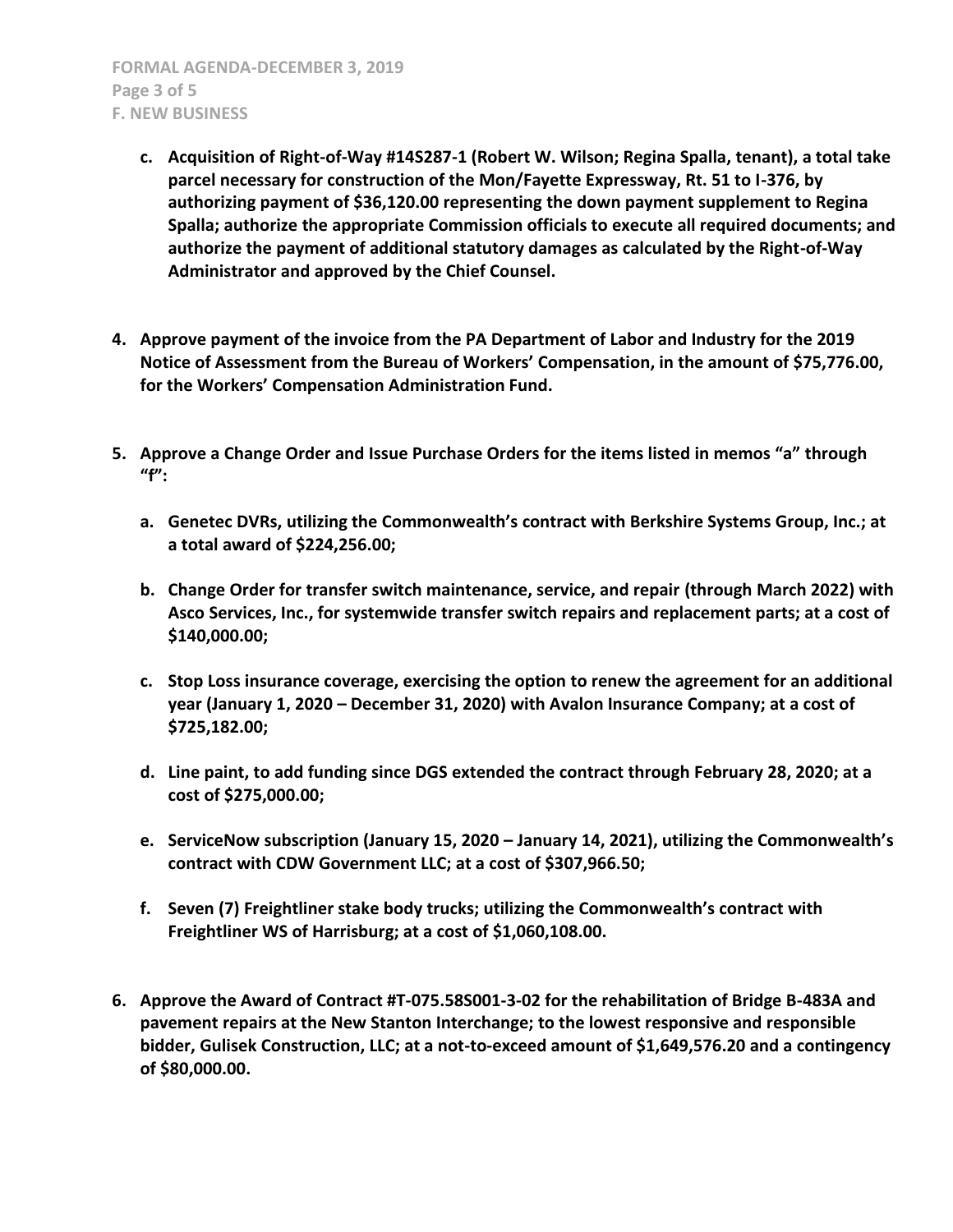**FORMAL AGENDA-DECEMBER 3, 2019 Page 3 of 5 F. NEW BUSINESS**

- **c. Acquisition of Right-of-Way #14S287-1 (Robert W. Wilson; Regina Spalla, tenant), a total take parcel necessary for construction of the Mon/Fayette Expressway, Rt. 51 to I-376, by authorizing payment of \$36,120.00 representing the down payment supplement to Regina Spalla; authorize the appropriate Commission officials to execute all required documents; and authorize the payment of additional statutory damages as calculated by the Right-of-Way Administrator and approved by the Chief Counsel.**
- **4. Approve payment of the invoice from the PA Department of Labor and Industry for the 2019 Notice of Assessment from the Bureau of Workers' Compensation, in the amount of \$75,776.00, for the Workers' Compensation Administration Fund.**
- **5. Approve a Change Order and Issue Purchase Orders for the items listed in memos "a" through "f":**
	- **a. Genetec DVRs, utilizing the Commonwealth's contract with Berkshire Systems Group, Inc.; at a total award of \$224,256.00;**
	- **b. Change Order for transfer switch maintenance, service, and repair (through March 2022) with Asco Services, Inc., for systemwide transfer switch repairs and replacement parts; at a cost of \$140,000.00;**
	- **c. Stop Loss insurance coverage, exercising the option to renew the agreement for an additional year (January 1, 2020 – December 31, 2020) with Avalon Insurance Company; at a cost of \$725,182.00;**
	- **d. Line paint, to add funding since DGS extended the contract through February 28, 2020; at a cost of \$275,000.00;**
	- **e. ServiceNow subscription (January 15, 2020 – January 14, 2021), utilizing the Commonwealth's contract with CDW Government LLC; at a cost of \$307,966.50;**
	- **f. Seven (7) Freightliner stake body trucks; utilizing the Commonwealth's contract with Freightliner WS of Harrisburg; at a cost of \$1,060,108.00.**
- **6. Approve the Award of Contract #T-075.58S001-3-02 for the rehabilitation of Bridge B-483A and pavement repairs at the New Stanton Interchange; to the lowest responsive and responsible bidder, Gulisek Construction, LLC; at a not-to-exceed amount of \$1,649,576.20 and a contingency of \$80,000.00.**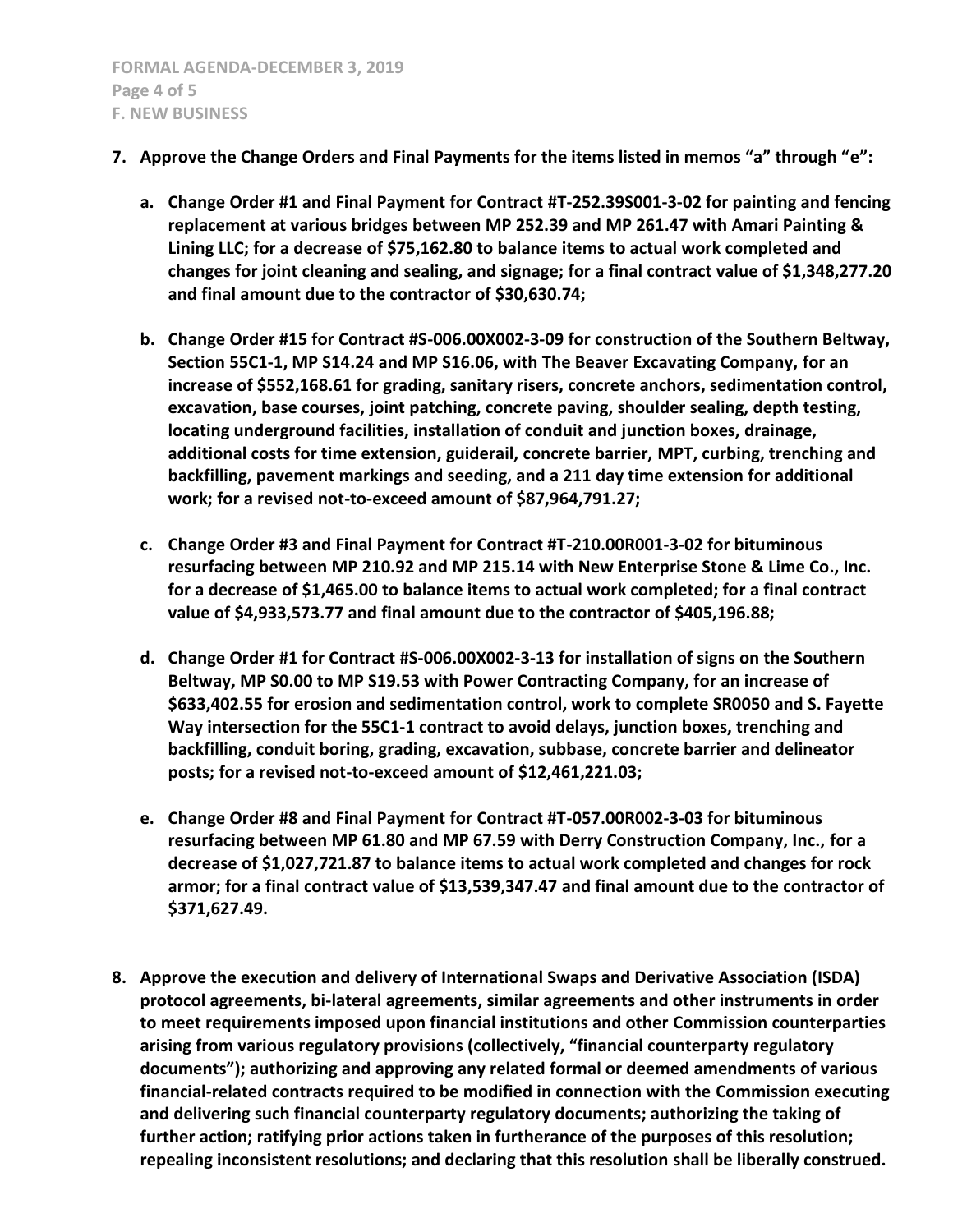- **7. Approve the Change Orders and Final Payments for the items listed in memos "a" through "e":**
	- **a. Change Order #1 and Final Payment for Contract #T-252.39S001-3-02 for painting and fencing replacement at various bridges between MP 252.39 and MP 261.47 with Amari Painting & Lining LLC; for a decrease of \$75,162.80 to balance items to actual work completed and changes for joint cleaning and sealing, and signage; for a final contract value of \$1,348,277.20 and final amount due to the contractor of \$30,630.74;**
	- **b. Change Order #15 for Contract #S-006.00X002-3-09 for construction of the Southern Beltway, Section 55C1-1, MP S14.24 and MP S16.06, with The Beaver Excavating Company, for an increase of \$552,168.61 for grading, sanitary risers, concrete anchors, sedimentation control, excavation, base courses, joint patching, concrete paving, shoulder sealing, depth testing, locating underground facilities, installation of conduit and junction boxes, drainage, additional costs for time extension, guiderail, concrete barrier, MPT, curbing, trenching and backfilling, pavement markings and seeding, and a 211 day time extension for additional work; for a revised not-to-exceed amount of \$87,964,791.27;**
	- **c. Change Order #3 and Final Payment for Contract #T-210.00R001-3-02 for bituminous resurfacing between MP 210.92 and MP 215.14 with New Enterprise Stone & Lime Co., Inc. for a decrease of \$1,465.00 to balance items to actual work completed; for a final contract value of \$4,933,573.77 and final amount due to the contractor of \$405,196.88;**
	- **d. Change Order #1 for Contract #S-006.00X002-3-13 for installation of signs on the Southern Beltway, MP S0.00 to MP S19.53 with Power Contracting Company, for an increase of \$633,402.55 for erosion and sedimentation control, work to complete SR0050 and S. Fayette Way intersection for the 55C1-1 contract to avoid delays, junction boxes, trenching and backfilling, conduit boring, grading, excavation, subbase, concrete barrier and delineator posts; for a revised not-to-exceed amount of \$12,461,221.03;**
	- **e. Change Order #8 and Final Payment for Contract #T-057.00R002-3-03 for bituminous resurfacing between MP 61.80 and MP 67.59 with Derry Construction Company, Inc., for a decrease of \$1,027,721.87 to balance items to actual work completed and changes for rock armor; for a final contract value of \$13,539,347.47 and final amount due to the contractor of \$371,627.49.**
- **8. Approve the execution and delivery of International Swaps and Derivative Association (ISDA) protocol agreements, bi-lateral agreements, similar agreements and other instruments in order to meet requirements imposed upon financial institutions and other Commission counterparties arising from various regulatory provisions (collectively, "financial counterparty regulatory documents"); authorizing and approving any related formal or deemed amendments of various financial-related contracts required to be modified in connection with the Commission executing and delivering such financial counterparty regulatory documents; authorizing the taking of further action; ratifying prior actions taken in furtherance of the purposes of this resolution; repealing inconsistent resolutions; and declaring that this resolution shall be liberally construed.**